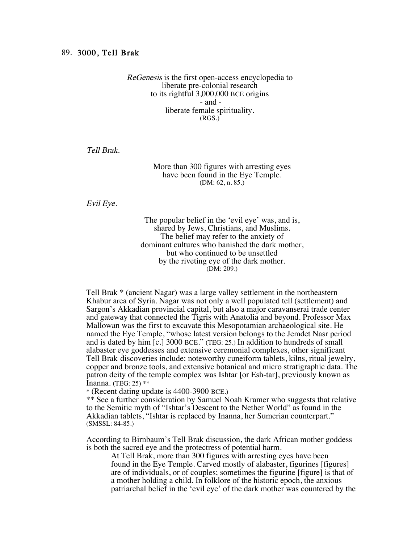## 89. 3000, Tell Brak

ReGenesis is the first open-access encyclopedia to liberate pre-colonial research to its rightful 3,000,000 BCE origins - and liberate female spirituality. (RGS.)

Tell Brak.

## More than 300 figures with arresting eyes have been found in the Eye Temple. (DM: 62, n. 85.)

Evil Eye.

The popular belief in the 'evil eye' was, and is, shared by Jews, Christians, and Muslims. The belief may refer to the anxiety of dominant cultures who banished the dark mother, but who continued to be unsettled by the riveting eye of the dark mother. (DM: 209.)

Tell Brak \* (ancient Nagar) was a large valley settlement in the northeastern Khabur area of Syria. Nagar was not only a well populated tell (settlement) and Sargon's Akkadian provincial capital, but also a major caravanserai trade center and gateway that connected the Tigris with Anatolia and beyond. Professor Max Mallowan was the first to excavate this Mesopotamian archaeological site. He named the Eye Temple, "whose latest version belongs to the Jemdet Nasr period and is dated by him [c.] 3000 BCE." (TEG: 25.) In addition to hundreds of small alabaster eye goddesses and extensive ceremonial complexes, other significant Tell Brak discoveries include: noteworthy cuneiform tablets, kilns, ritual jewelry, copper and bronze tools, and extensive botanical and micro stratigraphic data. The patron deity of the temple complex was Ishtar [or Esh-tar], previously known as Inanna. (TEG: 25) \*\*

\* (Recent dating update is 4400-3900 BCE.)

\*\* See a further consideration by Samuel Noah Kramer who suggests that relative to the Semitic myth of "Ishtar's Descent to the Nether World" as found in the Akkadian tablets, "Ishtar is replaced by Inanna, her Sumerian counterpart." (SMSSL: 84-85.)

According to Birnbaum's Tell Brak discussion, the dark African mother goddess is both the sacred eye and the protectress of potential harm.

At Tell Brak, more than 300 figures with arresting eyes have been found in the Eye Temple. Carved mostly of alabaster, figurines [figures] are of individuals, or of couples; sometimes the figurine [figure] is that of a mother holding a child. In folklore of the historic epoch, the anxious patriarchal belief in the 'evil eye' of the dark mother was countered by the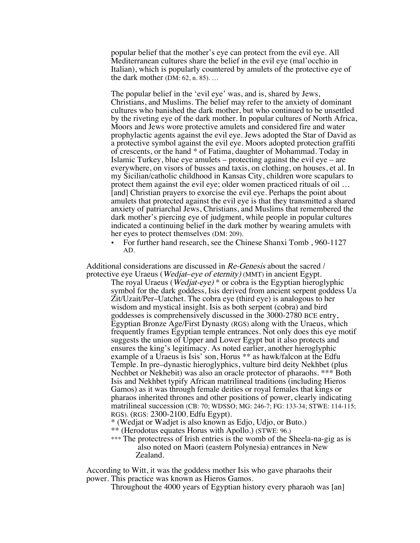popular belief that the mother's eye can protect from the evil eye. All Mediterranean cultures share the belief in the evil eye (mal'occhio in Italian), which is popularly countered by amulets of the protective eye of the dark mother (DM: 62, n. 85). …

The popular belief in the 'evil eye' was, and is, shared by Jews, Christians, and Muslims. The belief may refer to the anxiety of dominant cultures who banished the dark mother, but who continued to be unsettled by the riveting eye of the dark mother. In popular cultures of North Africa, Moors and Jews wore protective amulets and considered fire and water prophylactic agents against the evil eye. Jews adopted the Star of David as a protective symbol against the evil eye. Moors adopted protection graffiti of crescents, or the hand \* of Fatima, daughter of Mohammad. Today in Islamic Turkey, blue eye amulets – protecting against the evil eye – are everywhere, on visors of busses and taxis, on clothing, on houses, et al. In my Sicilian/catholic childhood in Kansas City, children wore scapulars to protect them against the evil eye; older women practiced rituals of oil … [and] Christian prayers to exorcise the evil eye. Perhaps the point about amulets that protected against the evil eye is that they transmitted a shared anxiety of patriarchal Jews, Christians, and Muslims that remembered the dark mother's piercing eye of judgment, while people in popular cultures indicated a continuing belief in the dark mother by wearing amulets with her eyes to protect themselves (DM: 209).

• For further hand research, see the Chinese Shanxi Tomb, 960-1127 AD.

Additional considerations are discussed in Re-Genesis about the sacred / protective eye Uraeus (Wedjat–eye of eternity) (MMT) in ancient Egypt.

The royal Uraeus (Wedjat-eye) \* or cobra is the Egyptian hieroglyphic symbol for the dark goddess, Isis derived from ancient serpent goddess Ua Zit/Uzait/Per–Uatchet. The cobra eye (third eye) is analogous to her wisdom and mystical insight. Isis as both serpent (cobra) and bird goddesses is comprehensively discussed in the 3000-2780 BCE entry, Egyptian Bronze Age/First Dynasty (RGS) along with the Uraeus, which frequently frames Egyptian temple entrances. Not only does this eye motif suggests the union of Upper and Lower Egypt but it also protects and ensures the king's legitimacy. As noted earlier, another hieroglyphic example of a Uraeus is Isis' son, Horus \*\* as hawk/falcon at the Edfu Temple. In pre–dynastic hieroglyphics, vulture bird deity Nekhbet (plus Nechbet or Nekhebit) was also an oracle protector of pharaohs. \*\*\* Both Isis and Nekhbet typify African matrilineal traditions (including Hieros Gamos) as it was through female deities or royal females that kings or pharaos inherited thrones and other positions of power, clearly indicating matrilineal succession (CB: 70; WDSSO; MG: 246-7; FG: 133-34; STWE: 114-115; RGS). (RGS: 2300-2100, Edfu Egypt).

\* (Wedjat or Wadjet is also known as Edjo, Udjo, or Buto.)

\*\* (Herodotus equates Horus with Apollo.) (STWE: 96.)

\*\*\* The protectress of Irish entries is the womb of the Sheela-na-gig as is also noted on Maori (eastern Polynesia) entrances in New Zealand.

According to Witt, it was the goddess mother Isis who gave pharaohs their power. This practice was known as Hieros Gamos.

Throughout the 4000 years of Egyptian history every pharaoh was [an]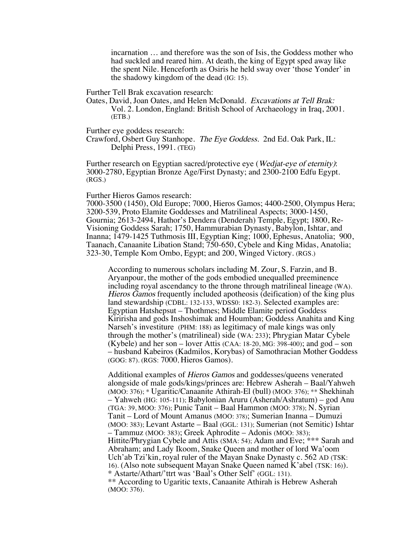incarnation … and therefore was the son of Isis, the Goddess mother who had suckled and reared him. At death, the king of Egypt sped away like the spent Nile. Henceforth as Osiris he held sway over 'those Yonder' in the shadowy kingdom of the dead (IG: 15).

Further Tell Brak excavation research:

Oates, David, Joan Oates, and Helen McDonald. Excavations at Tell Brak: Vol. 2. London, England: British School of Archaeology in Iraq, 2001. (ETB.)

Further eye goddess research:

Crawford, Osbert Guy Stanhope. The Eye Goddess. 2nd Ed. Oak Park, IL: Delphi Press, 1991. (TEG)

Further research on Egyptian sacred/protective eye (*Wedjat-eye of eternity*): 3000-2780, Egyptian Bronze Age/First Dynasty; and 2300-2100 Edfu Egypt. (RGS.)

## Further Hieros Gamos research:

7000-3500 (1450), Old Europe; 7000, Hieros Gamos; 4400-2500, Olympus Hera; 3200-539, Proto Elamite Goddesses and Matrilineal Aspects; 3000-1450, Gournia; 2613-2494, Hathor's Dendera (Denderah) Temple, Egypt; 1800, Re-Visioning Goddess Sarah; 1750, Hammurabian Dynasty, Babylon, Ishtar, and Inanna; 1479-1425 Tuthmosis III, Egyptian King; 1000, Ephesus, Anatolia; 900, Taanach, Canaanite Libation Stand; 750-650, Cybele and King Midas, Anatolia; 323-30, Temple Kom Ombo, Egypt; and 200, Winged Victory. (RGS.)

According to numerous scholars including M. Zour, S. Farzin, and B. Aryanpour, the mother of the gods embodied unequalled preeminence including royal ascendancy to the throne through matrilineal lineage (WA). Hieros Gamos frequently included apotheosis (deification) of the king plus land stewardship (CDBL: 132-133, WDSS0: 182-3). Selected examples are: Egyptian Hatshepsut – Thothmes; Middle Elamite period Goddess Kiririsha and gods Inshoshimak and Houmban; Goddess Anahita and King Narseh's investiture (PHM: 188) as legitimacy of male kings was only through the mother's (matrilineal) side (WA: 233); Phrygian Matar Cybele (Kybele) and her son – lover Attis (CAA:  $18-20$ , MG: 398-400); and god – son – husband Kabeiros (Kadmilos, Korybas) of Samothracian Mother Goddess (GOG: 87). (RGS: 7000, Hieros Gamos).

Additional examples of Hieros Gamos and goddesses/queens venerated alongside of male gods/kings/princes are: Hebrew Asherah – Baal/Yahweh (MOO: 376); \* Ugaritic/Canaanite Athirah-El (bull) (MOO: 376); \*\* Shekhinah – Yahweh (HG: 105-111); Babylonian Aruru (Asherah/Ashratum) – god Anu (TGA: 39, MOO: 376); Punic Tanit – Baal Hammon (MOO: 378); N. Syrian Tanit – Lord of Mount Amanus (MOO: 378); Sumerian Inanna – Dumuzi (MOO: 383); Levant Astarte – Baal (GGL: 131); Sumerian (not Semitic) Ishtar – Tammuz (MOO: 383); Greek Aphrodite – Adonis (MOO: 383); Hittite/Phrygian Cybele and Attis (SMA: 54); Adam and Eve; \*\*\* Sarah and Abraham; and Lady Ikoom, Snake Queen and mother of lord Wa'oom Uch'ab Tzi'kin, royal ruler of the Mayan Snake Dynasty c. 562 AD (TSK: 16). (Also note subsequent Mayan Snake Queen named K'abel (TSK: 16)). \* Astarte/Athart/'ttrt was 'Baal's Other Self' (GGL: 131). \*\* According to Ugaritic texts, Canaanite Athirah is Hebrew Asherah (MOO: 376).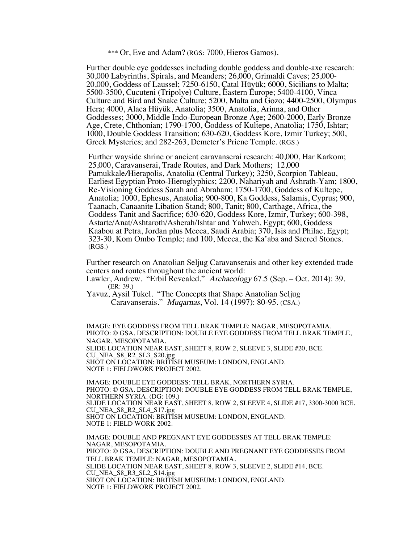\*\*\* Or, Eve and Adam? (RGS: 7000, Hieros Gamos).

Further double eye goddesses including double goddess and double-axe research: 30,000 Labyrinths, Spirals, and Meanders; 26,000, Grimaldi Caves; 25,000- 20,000, Goddess of Laussel; 7250-6150, Çatal Hüyük; 6000, Sicilians to Malta; 5500-3500, Cucuteni (Tripolye) Culture, Eastern Europe; 5400-4100, Vinca Culture and Bird and Snake Culture; 5200, Malta and Gozo; 4400-2500, Olympus Hera; 4000, Alaca Hüyük, Anatolia; 3500, Anatolia, Arinna, and Other Goddesses; 3000, Middle Indo-European Bronze Age; 2600-2000, Early Bronze Age, Crete, Chthonian; 1790-1700, Goddess of Kultepe, Anatolia; 1750, Ishtar; 1000, Double Goddess Transition; 630-620, Goddess Kore, Izmir Turkey; 500, Greek Mysteries; and 282-263, Demeter's Priene Temple. (RGS.)

Further wayside shrine or ancient caravanserai research: 40,000, Har Karkom; 25,000, Caravanserai, Trade Routes, and Dark Mothers; 12,000 Pamukkale/Hierapolis, Anatolia (Central Turkey); 3250, Scorpion Tableau, Earliest Egyptian Proto-Hieroglyphics; 2200, Nahariyah and Ashrath-Yam; 1800, Re-Visioning Goddess Sarah and Abraham; 1750-1700, Goddess of Kultepe, Anatolia; 1000, Ephesus, Anatolia; 900-800, Ka Goddess, Salamis, Cyprus; 900, Taanach, Canaanite Libation Stand; 800, Tanit; 800, Carthage, Africa, the Goddess Tanit and Sacrifice; 630-620, Goddess Kore, Izmir, Turkey; 600-398, Astarte/Anat/Ashtaroth/Asherah/Ishtar and Yahweh, Egypt; 600, Goddess Kaabou at Petra, Jordan plus Mecca, Saudi Arabia; 370, Isis and Philae, Egypt; 323-30, Kom Ombo Temple; and 100, Mecca, the Ka'aba and Sacred Stones. (RGS.)

Further research on Anatolian Seljug Caravanserais and other key extended trade centers and routes throughout the ancient world:

Lawler, Andrew. "Erbil Revealed." Archaeology 67.5 (Sep. – Oct. 2014): 39. (ER: 39.)

Yavuz, Aysil Tukel. "The Concepts that Shape Anatolian Seljug Caravanserais." Muqarnas, Vol. 14 (1997): 80-95. (CSA.)

IMAGE: EYE GODDESS FROM TELL BRAK TEMPLE: NAGAR, MESOPOTAMIA. PHOTO: © GSA. DESCRIPTION: DOUBLE EYE GODDESS FROM TELL BRAK TEMPLE, NAGAR, MESOPOTAMIA.<br>SLIDE LOCATION NEAR EAST, SHEET 8, ROW 2, SLEEVE 3, SLIDE #20, BCE. CU\_NEA\_S8\_R2\_SL3\_S20.jpg SHOT ON LOCATION: BRITISH MUSEUM: LONDON, ENGLAND. NOTE 1: FIELDWORK PROJECT 2002.

IMAGE: DOUBLE EYE GODDESS: TELL BRAK, NORTHERN SYRIA. PHOTO: © GSA. DESCRIPTION: DOUBLE EYE GODDESS FROM TELL BRAK TEMPLE, NORTHERN SYRIA. (DG: 109.) SLIDE LOCATION NEAR EAST, SHEET 8, ROW 2, SLEEVE 4, SLIDE #17, 3300-3000 BCE. CU\_NEA\_S8\_R2\_SL4\_S17.jpg SHOT ON LOCATION: BRITISH MUSEUM: LONDON, ENGLAND. NOTE 1: FIELD WORK 2002.

IMAGE: DOUBLE AND PREGNANT EYE GODDESSES AT TELL BRAK TEMPLE: NAGAR, MESOPOTAMIA. PHOTO: © GSA. DESCRIPTION: DOUBLE AND PREGNANT EYE GODDESSES FROM TELL BRAK TEMPLE: NAGAR, MESOPOTAMIA.<br>SLIDE LOCATION NEAR EAST, SHEET 8, ROW 3, SLEEVE 2, SLIDE #14, BCE. CU\_NEA\_S8\_R3\_SL2\_S14.jpg SHOT ON LOCATION: BRITISH MUSEUM: LONDON, ENGLAND. NOTE 1: FIELDWORK PROJECT 2002.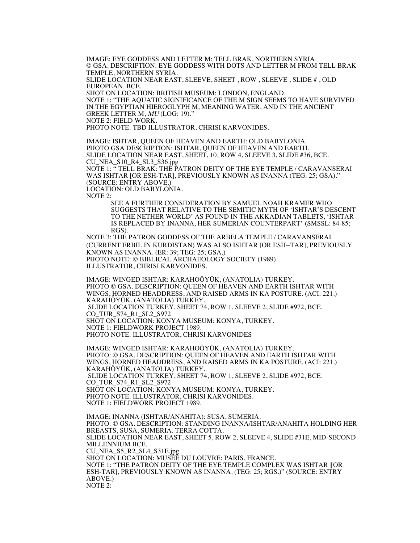IMAGE: EYE GODDESS AND LETTER M: TELL BRAK, NORTHERN SYRIA. © GSA. DESCRIPTION: EYE GODDESS WITH DOTS AND LETTER M FROM TELL BRAK TEMPLE, NORTHERN SYRIA. SLIDE LOCATION NEAR EAST, SLEEVE, SHEET , ROW , SLEEVE , SLIDE # , OLD EUROPEAN. BCE. SHOT ON LOCATION: BRITISH MUSEUM: LONDON, ENGLAND. NOTE 1: "THE AQUATIC SIGNIFICANCE OF THE M SIGN SEEMS TO HAVE SURVIVED IN THE EGYPTIAN HIEROGLYPH M, MEANING WATER, AND IN THE ANCIENT GREEK LETTER M, MU (LOG: 19)." NOTE 2: FIELD WORK. PHOTO NOTE: TBD ILLUSTRATOR, CHRISI KARVONIDES.

IMAGE: ISHTAR, QUEEN OF HEAVEN AND EARTH: OLD BABYLONIA. PHOTO GSA DESCRIPTION: ISHTAR, QUEEN OF HEAVEN AND EARTH. SLIDE LOCATION NEAR EAST, SHEET, 10, ROW 4, SLEEVE 3, SLIDE #36, BCE. CU\_NEA\_S10\_R4\_SL3\_S36.jpg NOTE 1: " TELL BRAK: THE PATRON DEITY OF THE EYE TEMPLE / CARAVANSERAI WAS ISHTAR [OR ESH-TAR], PREVIOUSLY KNOWN AS INANNA (TEG: 25; GSA)." (SOURCE: ENTRY ABOVE.) LOCATION: OLD BABYLONIA.

NOTE 2:

SEE A FURTHER CONSIDERATION BY SAMUEL NOAH KRAMER WHO SUGGESTS THAT RELATIVE TO THE SEMITIC MYTH OF 'ISHTAR'S DESCENT TO THE NETHER WORLD' AS FOUND IN THE AKKADIAN TABLETS, 'ISHTAR IS REPLACED BY INANNA, HER SUMERIAN COUNTERPART' (SMSSL: 84-85; RGS).

NOTE 3: THE PATRON GODDESS OF THE ARBELA TEMPLE / CARAVANSERAI (CURRENT ERBIL IN KURDISTAN) WAS ALSO ISHTAR [OR ESH–TAR], PREVIOUSLY KNOWN AS INANNA. (ER: 39; TEG: 25; GSA.) PHOTO NOTE: © BIBLICAL ARCHAEOLOGY SOCIETY (1989). ILLUSTRATOR, CHRISI KARVONIDES.

IMAGE: WINGED ISHTAR: KARAHOÖYÜK, (ANATOLIA) TURKEY. PHOTO © GSA. DESCRIPTION: QUEEN OF HEAVEN AND EARTH ISHTAR WITH WINGS, HORNED HEADDRESS, AND RAISED ARMS IN KA POSTURE. (ACI: 221.) KARAHÖYÜK, (ANATOLIA) TURKEY. SLIDE LOCATION TURKEY, SHEET 74, ROW 1, SLEEVE 2, SLIDE #972, BCE. CO\_TUR\_S74\_R1\_SL2\_S972 SHOT ON LOCATION: KONYA MUSEUM: KONYA, TURKEY. NOTE 1: FIELDWORK PROJECT 1989.

PHOTO NOTE: ILLUSTRATOR, CHRISI KARVONIDES

IMAGE: WINGED ISHTAR: KARAHOÖYÜK, (ANATOLIA) TURKEY. PHOTO: © GSA. DESCRIPTION: QUEEN OF HEAVEN AND EARTH ISHTAR WITH WINGS, HORNED HEADDRESS, AND RAISED ARMS IN KA POSTURE. (ACI: 221.) KARAHÖYÜK, (ANATOLIA) TURKEY. SLIDE LOCATION TURKEY, SHEET 74, ROW 1, SLEEVE 2, SLIDE #972, BCE. CO\_TUR\_S74\_R1\_SL2\_S972 SHOT ON LOCATION: KONYA MUSEUM: KONYA, TURKEY. PHOTO NOTE: ILLUSTRATOR, CHRISI KARVONIDES. NOTE 1: FIELDWORK PROJECT 1989.

IMAGE: INANNA (ISHTAR/ANAHITA): SUSA, SUMERIA. PHOTO: © GSA. DESCRIPTION: STANDING INANNA/ISHTAR/ANAHITA HOLDING HER BREASTS, SUSA, SUMERIA. TERRA COTTA. SLIDE LOCATION NEAR EAST, SHEET 5, ROW 2, SLEEVE 4, SLIDE #31E, MID-SECOND MILLENNIUM BCE. CU\_NEA\_S5\_R2\_SL4\_S31E.jpg SHOT ON LOCATION: MUSÉE DU LOUVRE: PARIS, FRANCE. NOTE 1: "THE PATRON DEITY OF THE EYE TEMPLE COMPLEX WAS ISHTAR [OR ESH-TAR], PREVIOUSLY KNOWN AS INANNA. (TEG: 25; RGS.)" (SOURCE: ENTRY ABOVE.) NOTE 2: